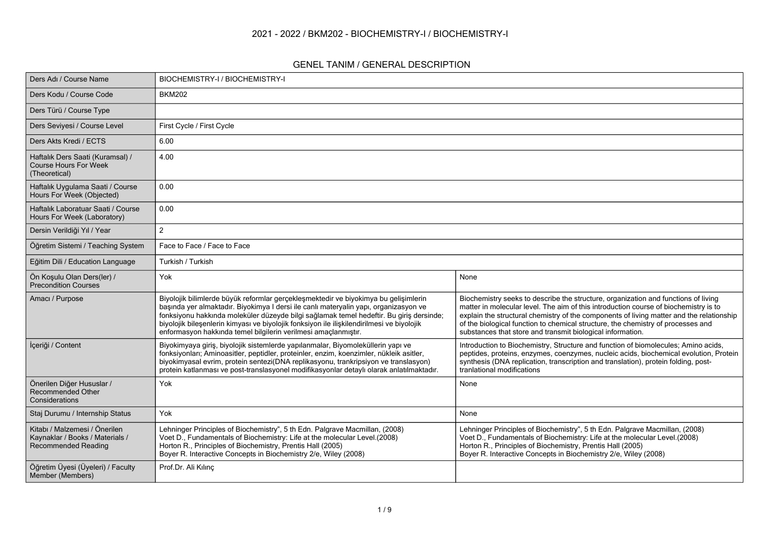#### **2021 - 2022 / BKM202 - BIOCHEMISTRY-I / BIOCHEMISTRY-I**

#### **GENEL TANIM / GENERAL DESCRIPTION**

| Ders Adı / Course Name                                                                  | BIOCHEMISTRY-I / BIOCHEMISTRY-I                                                                                                                                                                                                                                                                                                                                                                                                       |                                                                                                                                                                                                                                                                                                                                                                                                                          |
|-----------------------------------------------------------------------------------------|---------------------------------------------------------------------------------------------------------------------------------------------------------------------------------------------------------------------------------------------------------------------------------------------------------------------------------------------------------------------------------------------------------------------------------------|--------------------------------------------------------------------------------------------------------------------------------------------------------------------------------------------------------------------------------------------------------------------------------------------------------------------------------------------------------------------------------------------------------------------------|
| Ders Kodu / Course Code                                                                 | <b>BKM202</b>                                                                                                                                                                                                                                                                                                                                                                                                                         |                                                                                                                                                                                                                                                                                                                                                                                                                          |
| Ders Türü / Course Type                                                                 |                                                                                                                                                                                                                                                                                                                                                                                                                                       |                                                                                                                                                                                                                                                                                                                                                                                                                          |
| Ders Seviyesi / Course Level                                                            | First Cycle / First Cycle                                                                                                                                                                                                                                                                                                                                                                                                             |                                                                                                                                                                                                                                                                                                                                                                                                                          |
| Ders Akts Kredi / ECTS                                                                  | 6.00                                                                                                                                                                                                                                                                                                                                                                                                                                  |                                                                                                                                                                                                                                                                                                                                                                                                                          |
| Haftalık Ders Saati (Kuramsal) /<br><b>Course Hours For Week</b><br>(Theoretical)       | 4.00                                                                                                                                                                                                                                                                                                                                                                                                                                  |                                                                                                                                                                                                                                                                                                                                                                                                                          |
| Haftalık Uygulama Saati / Course<br>Hours For Week (Objected)                           | 0.00                                                                                                                                                                                                                                                                                                                                                                                                                                  |                                                                                                                                                                                                                                                                                                                                                                                                                          |
| Haftalık Laboratuar Saati / Course<br>Hours For Week (Laboratory)                       | 0.00                                                                                                                                                                                                                                                                                                                                                                                                                                  |                                                                                                                                                                                                                                                                                                                                                                                                                          |
| Dersin Verildiği Yıl / Year                                                             | 2                                                                                                                                                                                                                                                                                                                                                                                                                                     |                                                                                                                                                                                                                                                                                                                                                                                                                          |
| Öğretim Sistemi / Teaching System                                                       | Face to Face / Face to Face                                                                                                                                                                                                                                                                                                                                                                                                           |                                                                                                                                                                                                                                                                                                                                                                                                                          |
| Eğitim Dili / Education Language                                                        | Turkish / Turkish                                                                                                                                                                                                                                                                                                                                                                                                                     |                                                                                                                                                                                                                                                                                                                                                                                                                          |
| Ön Koşulu Olan Ders(ler) /<br><b>Precondition Courses</b>                               | Yok                                                                                                                                                                                                                                                                                                                                                                                                                                   | None                                                                                                                                                                                                                                                                                                                                                                                                                     |
| Amacı / Purpose                                                                         | Biyolojik bilimlerde büyük reformlar gerçekleşmektedir ve biyokimya bu gelişimlerin<br>başında yer almaktadır. Biyokimya I dersi ile canlı materyalin yapı, organizasyon ve<br>fonksiyonu hakkında moleküler düzeyde bilgi sağlamak temel hedeftir. Bu giriş dersinde;<br>biyolojik bileşenlerin kimyası ve biyolojik fonksiyon ile ilişkilendirilmesi ve biyolojik<br>enformasyon hakkında temel bilgilerin verilmesi amaçlanmıştır. | Biochemistry seeks to describe the structure, organization and functions of living<br>matter in molecular level. The aim of this introduction course of biochemistry is to<br>explain the structural chemistry of the components of living matter and the relationship<br>of the biological function to chemical structure, the chemistry of processes and<br>substances that store and transmit biological information. |
| İçeriği / Content                                                                       | Biyokimyaya giriş, biyolojik sistemlerde yapılanmalar, Biyomoleküllerin yapı ve<br>fonksiyonları; Aminoasitler, peptidler, proteinler, enzim, koenzimler, nükleik asitler,<br>biyokimyasal evrim, protein sentezi(DNA replikasyonu, trankripsiyon ve translasyon)<br>protein katlanması ve post-translasyonel modifikasyonlar detaylı olarak anlatılmaktadır.                                                                         | Introduction to Biochemistry, Structure and function of biomolecules; Amino acids,<br>peptides, proteins, enzymes, coenzymes, nucleic acids, biochemical evolution, Protein<br>synthesis (DNA replication, transcription and translation), protein folding, post-<br>tranlational modifications                                                                                                                          |
| Önerilen Diğer Hususlar /<br>Recommended Other<br>Considerations                        | Yok                                                                                                                                                                                                                                                                                                                                                                                                                                   | None                                                                                                                                                                                                                                                                                                                                                                                                                     |
| Staj Durumu / Internship Status                                                         | Yok                                                                                                                                                                                                                                                                                                                                                                                                                                   | None                                                                                                                                                                                                                                                                                                                                                                                                                     |
| Kitabı / Malzemesi / Önerilen<br>Kaynaklar / Books / Materials /<br>Recommended Reading | Lehninger Principles of Biochemistry", 5 th Edn. Palgrave Macmillan, (2008)<br>Voet D., Fundamentals of Biochemistry: Life at the molecular Level.(2008)<br>Horton R., Principles of Biochemistry, Prentis Hall (2005)<br>Boyer R. Interactive Concepts in Biochemistry 2/e, Wiley (2008)                                                                                                                                             | Lehninger Principles of Biochemistry", 5 th Edn. Palgrave Macmillan, (2008)<br>Voet D., Fundamentals of Biochemistry: Life at the molecular Level.(2008)<br>Horton R., Principles of Biochemistry, Prentis Hall (2005)<br>Boyer R. Interactive Concepts in Biochemistry 2/e, Wiley (2008)                                                                                                                                |
| Öğretim Üyesi (Üyeleri) / Faculty<br>Member (Members)                                   | Prof.Dr. Ali Kılınç                                                                                                                                                                                                                                                                                                                                                                                                                   |                                                                                                                                                                                                                                                                                                                                                                                                                          |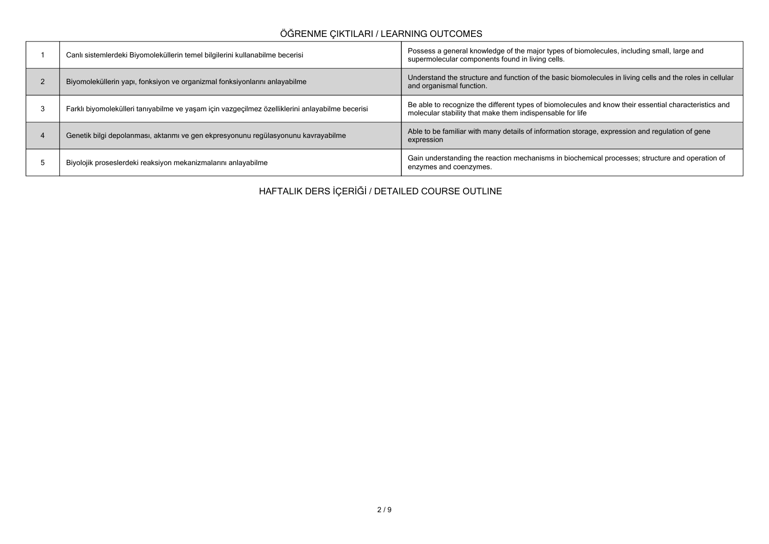# **ÖĞRENME ÇIKTILARI / LEARNING OUTCOMES**

| Canlı sistemlerdeki Biyomoleküllerin temel bilgilerini kullanabilme becerisi                    | Possess a general knowledge of the major types of biomolecules, including small, large and<br>supermolecular components found in living cells.                     |
|-------------------------------------------------------------------------------------------------|--------------------------------------------------------------------------------------------------------------------------------------------------------------------|
| Biyomoleküllerin yapı, fonksiyon ve organizmal fonksiyonlarını anlayabilme                      | Understand the structure and function of the basic biomolecules in living cells and the roles in cellular<br>and organismal function.                              |
| Farklı biyomolekülleri tanıyabilme ve yaşam için vazgeçilmez özelliklerini anlayabilme becerisi | Be able to recognize the different types of biomolecules and know their essential characteristics and<br>molecular stability that make them indispensable for life |
| Genetik bilgi depolanması, aktarımı ve gen ekpresyonunu regülasyonunu kavrayabilme              | Able to be familiar with many details of information storage, expression and regulation of gene<br>expression                                                      |
| Biyolojik proseslerdeki reaksiyon mekanizmalarını anlayabilme                                   | Gain understanding the reaction mechanisms in biochemical processes; structure and operation of<br>enzymes and coenzymes.                                          |

**HAFTALIK DERS İÇERİĞİ / DETAILED COURSE OUTLINE**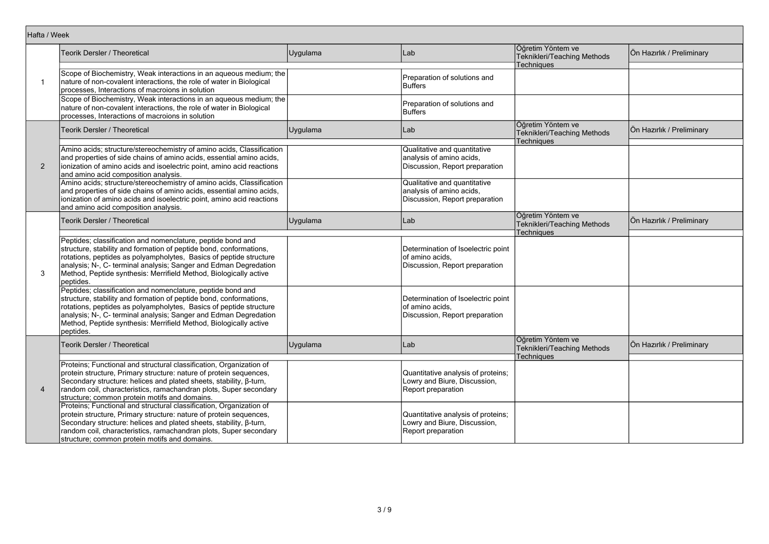| Hafta / Week   |                                                                                                                                                                                                                                                                                                                                                               |          |                                                                                            |                                                                |                           |
|----------------|---------------------------------------------------------------------------------------------------------------------------------------------------------------------------------------------------------------------------------------------------------------------------------------------------------------------------------------------------------------|----------|--------------------------------------------------------------------------------------------|----------------------------------------------------------------|---------------------------|
|                | Teorik Dersler / Theoretical                                                                                                                                                                                                                                                                                                                                  | Uygulama | Lab                                                                                        | Öğretim Yöntem ve<br>Teknikleri/Teaching Methods<br>Techniques | Ön Hazırlık / Preliminary |
| $\mathbf 1$    | Scope of Biochemistry, Weak interactions in an aqueous medium; the<br>nature of non-covalent interactions, the role of water in Biological<br>processes, Interactions of macroions in solution                                                                                                                                                                |          | Preparation of solutions and<br>Buffers                                                    |                                                                |                           |
|                | Scope of Biochemistry, Weak interactions in an aqueous medium; the<br>nature of non-covalent interactions, the role of water in Biological<br>processes, Interactions of macroions in solution                                                                                                                                                                |          | Preparation of solutions and<br><b>Buffers</b>                                             |                                                                |                           |
|                | Teorik Dersler / Theoretical                                                                                                                                                                                                                                                                                                                                  | Uygulama | Lab                                                                                        | Öğretim Yöntem ve<br>Teknikleri/Teaching Methods<br>Techniques | Ön Hazırlık / Preliminary |
| 2              | Amino acids; structure/stereochemistry of amino acids, Classification<br>and properties of side chains of amino acids, essential amino acids,<br>ionization of amino acids and isoelectric point, amino acid reactions<br>and amino acid composition analysis.                                                                                                |          | Qualitative and quantitative<br>analysis of amino acids,<br>Discussion, Report preparation |                                                                |                           |
|                | Amino acids; structure/stereochemistry of amino acids, Classification<br>and properties of side chains of amino acids, essential amino acids,<br>ionization of amino acids and isoelectric point, amino acid reactions<br>and amino acid composition analysis.                                                                                                |          | Qualitative and quantitative<br>analysis of amino acids,<br>Discussion, Report preparation |                                                                |                           |
|                | Teorik Dersler / Theoretical                                                                                                                                                                                                                                                                                                                                  | Uygulama | Lab                                                                                        | Öğretim Yöntem ve<br>Teknikleri/Teaching Methods<br>Techniques | Ön Hazırlık / Preliminary |
| 3              | Peptides; classification and nomenclature, peptide bond and<br>structure, stability and formation of peptide bond, conformations,<br>rotations, peptides as polyampholytes, Basics of peptide structure<br>analysis; N-, C- terminal analysis; Sanger and Edman Degredation<br>Method, Peptide synthesis: Merrifield Method, Biologically active<br>peptides. |          | Determination of Isoelectric point<br>of amino acids,<br>Discussion, Report preparation    |                                                                |                           |
|                | Peptides; classification and nomenclature, peptide bond and<br>structure, stability and formation of peptide bond, conformations,<br>rotations, peptides as polyampholytes, Basics of peptide structure<br>analysis; N-, C- terminal analysis; Sanger and Edman Degredation<br>Method, Peptide synthesis: Merrifield Method, Biologically active<br>peptides. |          | Determination of Isoelectric point<br>lof amino acids.<br>Discussion, Report preparation   |                                                                |                           |
|                | Teorik Dersler / Theoretical                                                                                                                                                                                                                                                                                                                                  | Uygulama | Lab                                                                                        | Öğretim Yöntem ve<br>Teknikleri/Teaching Methods<br>Techniques | Ön Hazırlık / Preliminary |
| $\overline{4}$ | Proteins; Functional and structural classification, Organization of<br>protein structure, Primary structure: nature of protein sequences,<br>Secondary structure: helices and plated sheets, stability, ß-turn,<br>random coil, characteristics, ramachandran plots, Super secondary<br>structure; common protein motifs and domains.                         |          | Quantitative analysis of proteins;<br>Lowry and Biure, Discussion,<br>Report preparation   |                                                                |                           |
|                | Proteins; Functional and structural classification, Organization of<br>protein structure, Primary structure: nature of protein sequences,<br>Secondary structure: helices and plated sheets, stability, β-turn,<br>random coil, characteristics, ramachandran plots, Super secondary<br>structure; common protein motifs and domains.                         |          | Quantitative analysis of proteins;<br>Lowry and Biure, Discussion,<br>Report preparation   |                                                                |                           |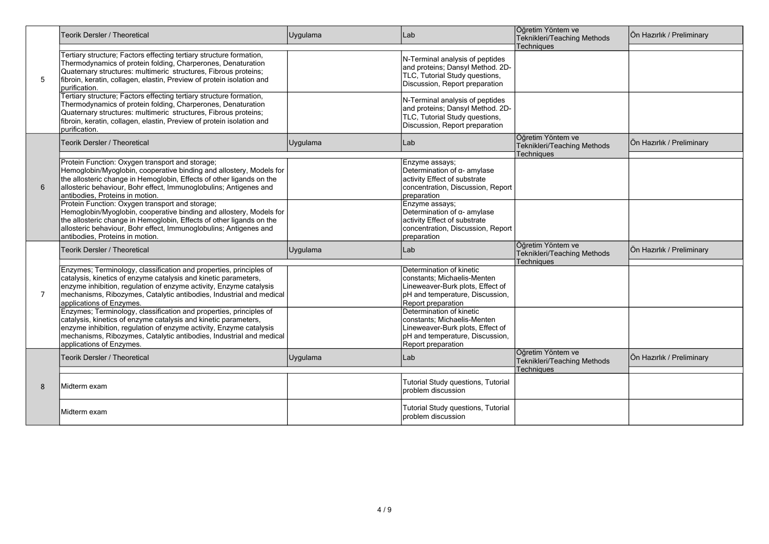|   | <b>Teorik Dersler / Theoretical</b>                                                                                                                                                                                                                                                                            | Uygulama | Lab                                                                                                                                                  | Öğretim Yöntem ve<br>Teknikleri/Teaching Methods                             | Ön Hazırlık / Preliminary |
|---|----------------------------------------------------------------------------------------------------------------------------------------------------------------------------------------------------------------------------------------------------------------------------------------------------------------|----------|------------------------------------------------------------------------------------------------------------------------------------------------------|------------------------------------------------------------------------------|---------------------------|
| 5 | Tertiary structure; Factors effecting tertiary structure formation,<br>Thermodynamics of protein folding, Charperones, Denaturation<br>Quaternary structures: multimeric structures, Fibrous proteins;<br>fibroin, keratin, collagen, elastin, Preview of protein isolation and<br>purification.               |          | N-Terminal analysis of peptides<br>and proteins; Dansyl Method. 2D-<br>TLC, Tutorial Study questions,<br>Discussion, Report preparation              | <b>Techniques</b>                                                            |                           |
|   | Tertiary structure; Factors effecting tertiary structure formation,<br>Thermodynamics of protein folding, Charperones, Denaturation<br>Quaternary structures: multimeric structures, Fibrous proteins;<br>fibroin, keratin, collagen, elastin, Preview of protein isolation and<br>purification.               |          | N-Terminal analysis of peptides<br>and proteins; Dansyl Method. 2D-<br>TLC, Tutorial Study questions,<br>Discussion, Report preparation              |                                                                              |                           |
|   | <b>Teorik Dersler / Theoretical</b>                                                                                                                                                                                                                                                                            | Uygulama | Lab                                                                                                                                                  | Öğretim Yöntem ve<br><b>Teknikleri/Teaching Methods</b><br><b>Techniques</b> | Ön Hazırlık / Preliminary |
| 6 | Protein Function: Oxygen transport and storage;<br>Hemoglobin/Myoglobin, cooperative binding and allostery, Models for<br>the allosteric change in Hemoglobin, Effects of other ligands on the<br>allosteric behaviour, Bohr effect, Immunoglobulins; Antigenes and<br>antibodies, Proteins in motion.         |          | Enzyme assays;<br>Determination of $\alpha$ - amylase<br>activity Effect of substrate<br>concentration, Discussion, Report<br>preparation            |                                                                              |                           |
|   | Protein Function: Oxygen transport and storage;<br>Hemoglobin/Myoglobin, cooperative binding and allostery, Models for<br>the allosteric change in Hemoglobin, Effects of other ligands on the<br>allosteric behaviour, Bohr effect, Immunoglobulins; Antigenes and<br>antibodies, Proteins in motion.         |          | Enzyme assays;<br>Determination of $\alpha$ - amylase<br>activity Effect of substrate<br>concentration, Discussion, Report<br>preparation            |                                                                              |                           |
|   | Teorik Dersler / Theoretical                                                                                                                                                                                                                                                                                   | Uygulama | Lab                                                                                                                                                  | Öğretim Yöntem ve<br>Teknikleri/Teaching Methods<br><b>Techniques</b>        | Ön Hazırlık / Preliminary |
| 7 | Enzymes; Terminology, classification and properties, principles of<br>catalysis, kinetics of enzyme catalysis and kinetic parameters,<br>enzyme inhibition, regulation of enzyme activity, Enzyme catalysis<br>mechanisms, Ribozymes, Catalytic antibodies, Industrial and medical<br>applications of Enzymes. |          | Determination of kinetic<br>constants: Michaelis-Menten<br>Lineweaver-Burk plots, Effect of<br>pH and temperature, Discussion,<br>Report preparation |                                                                              |                           |
|   | Enzymes; Terminology, classification and properties, principles of<br>catalysis, kinetics of enzyme catalysis and kinetic parameters,<br>enzyme inhibition, regulation of enzyme activity, Enzyme catalysis<br>mechanisms, Ribozymes, Catalytic antibodies, Industrial and medical<br>applications of Enzymes. |          | Determination of kinetic<br>constants; Michaelis-Menten<br>Lineweaver-Burk plots, Effect of<br>pH and temperature, Discussion,<br>Report preparation |                                                                              |                           |
|   | Teorik Dersler / Theoretical                                                                                                                                                                                                                                                                                   | Uygulama | Lab                                                                                                                                                  | Öğretim Yöntem ve<br>Teknikleri/Teaching Methods<br><b>Techniques</b>        | Ön Hazırlık / Preliminary |
| 8 | Midterm exam                                                                                                                                                                                                                                                                                                   |          | Tutorial Study questions, Tutorial<br>problem discussion                                                                                             |                                                                              |                           |
|   | Midterm exam                                                                                                                                                                                                                                                                                                   |          | <b>Tutorial Study questions, Tutorial</b><br>problem discussion                                                                                      |                                                                              |                           |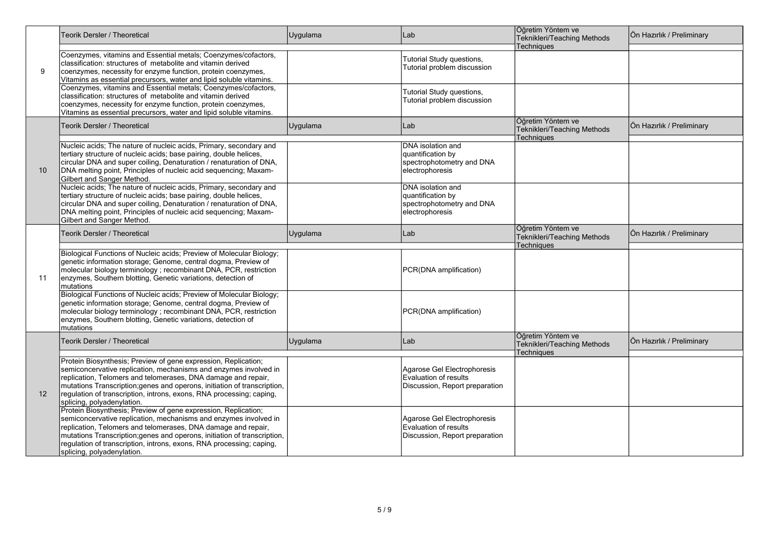|    | <b>Teorik Dersler / Theoretical</b>                                                                                                                                                                                                                                                                                                                                                   | Uygulama | Lab                                                                                    | Öğretim Yöntem ve<br>Teknikleri/Teaching Methods               | Ön Hazırlık / Preliminary |
|----|---------------------------------------------------------------------------------------------------------------------------------------------------------------------------------------------------------------------------------------------------------------------------------------------------------------------------------------------------------------------------------------|----------|----------------------------------------------------------------------------------------|----------------------------------------------------------------|---------------------------|
| 9  | Coenzymes, vitamins and Essential metals; Coenzymes/cofactors,<br>classification: structures of metabolite and vitamin derived<br>coenzymes, necessity for enzyme function, protein coenzymes,<br>Vitamins as essential precursors, water and lipid soluble vitamins.                                                                                                                 |          | Tutorial Study questions,<br>Tutorial problem discussion                               | <b>Techniques</b>                                              |                           |
|    | Coenzymes, vitamins and Essential metals; Coenzymes/cofactors,<br>classification: structures of metabolite and vitamin derived<br>coenzymes, necessity for enzyme function, protein coenzymes,<br>Vitamins as essential precursors, water and lipid soluble vitamins.                                                                                                                 |          | Tutorial Study questions,<br>Tutorial problem discussion                               |                                                                |                           |
|    | Teorik Dersler / Theoretical                                                                                                                                                                                                                                                                                                                                                          | Uygulama | Lab                                                                                    | Öğretim Yöntem ve<br>Teknikleri/Teaching Methods               | Ön Hazırlık / Preliminary |
| 10 | Nucleic acids; The nature of nucleic acids, Primary, secondary and<br>tertiary structure of nucleic acids; base pairing, double helices,<br>circular DNA and super coiling, Denaturation / renaturation of DNA,<br>DNA melting point, Principles of nucleic acid sequencing; Maxam-<br>Gilbert and Sanger Method.                                                                     |          | DNA isolation and<br>quantification by<br>spectrophotometry and DNA<br>electrophoresis | Techniques                                                     |                           |
|    | Nucleic acids; The nature of nucleic acids, Primary, secondary and<br>tertiary structure of nucleic acids; base pairing, double helices,<br>circular DNA and super coiling, Denaturation / renaturation of DNA,<br>DNA melting point, Principles of nucleic acid sequencing; Maxam-<br>Gilbert and Sanger Method.                                                                     |          | DNA isolation and<br>quantification by<br>spectrophotometry and DNA<br>electrophoresis |                                                                |                           |
|    | Teorik Dersler / Theoretical                                                                                                                                                                                                                                                                                                                                                          | Uygulama | Lab                                                                                    | Öğretim Yöntem ve<br>Teknikleri/Teaching Methods               | Ön Hazırlık / Preliminary |
| 11 | Biological Functions of Nucleic acids; Preview of Molecular Biology;<br>genetic information storage; Genome, central dogma, Preview of<br>molecular biology terminology; recombinant DNA, PCR, restriction<br>enzymes, Southern blotting, Genetic variations, detection of<br>Imutations                                                                                              |          | PCR(DNA amplification)                                                                 | Techniques                                                     |                           |
|    | Biological Functions of Nucleic acids; Preview of Molecular Biology;<br>genetic information storage; Genome, central dogma, Preview of<br>molecular biology terminology; recombinant DNA, PCR, restriction<br>enzymes, Southern blotting, Genetic variations, detection of<br>mutations                                                                                               |          | PCR(DNA amplification)                                                                 |                                                                |                           |
|    | Teorik Dersler / Theoretical                                                                                                                                                                                                                                                                                                                                                          | Uygulama | Lab                                                                                    | Öğretim Yöntem ve<br>Teknikleri/Teaching Methods<br>Techniques | Ön Hazırlık / Preliminary |
| 12 | Protein Biosynthesis; Preview of gene expression, Replication;<br>semiconcervative replication, mechanisms and enzymes involved in<br>replication, Telomers and telomerases, DNA damage and repair,<br>mutations Transcription, genes and operons, initiation of transcription,<br>regulation of transcription, introns, exons, RNA processing, caping,<br>splicing, polyadenylation. |          | Agarose Gel Electrophoresis<br>Evaluation of results<br>Discussion, Report preparation |                                                                |                           |
|    | Protein Biosynthesis; Preview of gene expression, Replication;<br>semiconcervative replication, mechanisms and enzymes involved in<br>replication, Telomers and telomerases, DNA damage and repair,<br>mutations Transcription; genes and operons, initiation of transcription,<br>regulation of transcription, introns, exons, RNA processing; caping,<br>splicing, polyadenylation. |          | Agarose Gel Electrophoresis<br>Evaluation of results<br>Discussion, Report preparation |                                                                |                           |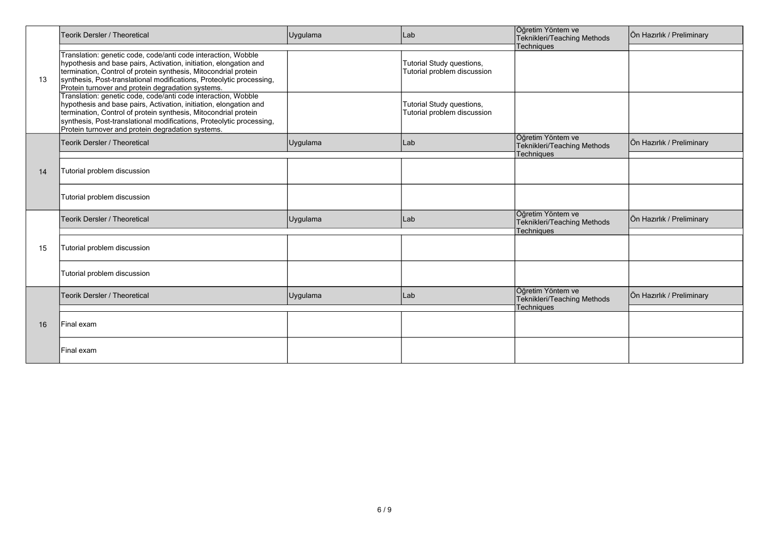|                | <b>Teorik Dersler / Theoretical</b>                                                                                                                                                                                                                                                                                                | Uygulama | Lab                                                      | Öğretim Yöntem ve<br>Teknikleri/Teaching Methods                      | Ön Hazırlık / Preliminary |
|----------------|------------------------------------------------------------------------------------------------------------------------------------------------------------------------------------------------------------------------------------------------------------------------------------------------------------------------------------|----------|----------------------------------------------------------|-----------------------------------------------------------------------|---------------------------|
| 13<br>14<br>15 | Translation: genetic code, code/anti code interaction, Wobble<br>hypothesis and base pairs, Activation, initiation, elongation and<br>termination, Control of protein synthesis, Mitocondrial protein<br>synthesis, Post-translational modifications, Proteolytic processing,<br>Protein turnover and protein degradation systems. |          | Tutorial Study questions,<br>Tutorial problem discussion | <b>Techniques</b>                                                     |                           |
|                | Translation: genetic code, code/anti code interaction, Wobble<br>hypothesis and base pairs, Activation, initiation, elongation and<br>termination, Control of protein synthesis, Mitocondrial protein<br>synthesis, Post-translational modifications, Proteolytic processing,<br>Protein turnover and protein degradation systems. |          | Tutorial Study questions,<br>Tutorial problem discussion |                                                                       |                           |
|                | <b>Teorik Dersler / Theoretical</b>                                                                                                                                                                                                                                                                                                | Uygulama | Lab                                                      | Öğretim Yöntem ve<br>Teknikleri/Teaching Methods<br><b>Techniques</b> | Ön Hazırlık / Preliminary |
|                | Tutorial problem discussion                                                                                                                                                                                                                                                                                                        |          |                                                          |                                                                       |                           |
|                | Tutorial problem discussion                                                                                                                                                                                                                                                                                                        |          |                                                          |                                                                       |                           |
|                | <b>Teorik Dersler / Theoretical</b>                                                                                                                                                                                                                                                                                                | Uygulama | Lab                                                      | Öğretim Yöntem ve<br>Teknikleri/Teaching Methods<br><b>Techniques</b> | Ön Hazırlık / Preliminary |
|                | Tutorial problem discussion                                                                                                                                                                                                                                                                                                        |          |                                                          |                                                                       |                           |
|                | Tutorial problem discussion                                                                                                                                                                                                                                                                                                        |          |                                                          |                                                                       |                           |
|                | <b>Teorik Dersler / Theoretical</b>                                                                                                                                                                                                                                                                                                | Uygulama | Lab                                                      | Öğretim Yöntem ve<br>Teknikleri/Teaching Methods<br><b>Techniques</b> | Ön Hazırlık / Preliminary |
| 16             | lFinal exam                                                                                                                                                                                                                                                                                                                        |          |                                                          |                                                                       |                           |
|                | Final exam                                                                                                                                                                                                                                                                                                                         |          |                                                          |                                                                       |                           |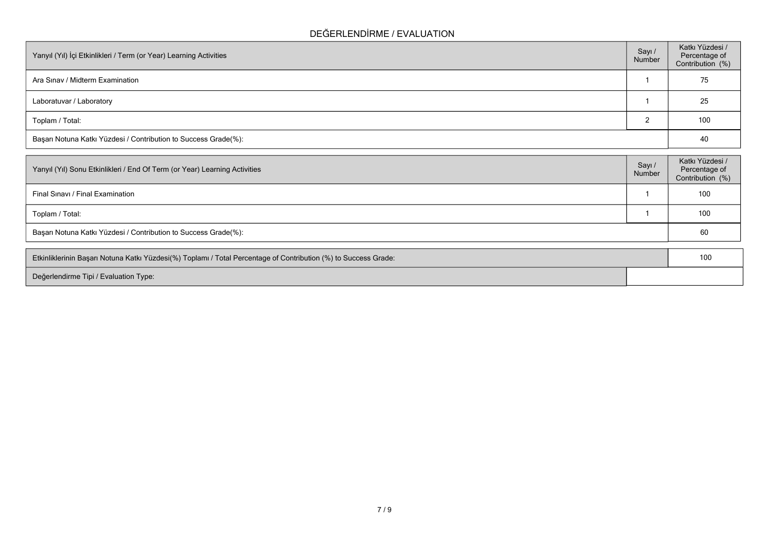### **DEĞERLENDİRME / EVALUATION**

| Yarıyıl (Yıl) İçi Etkinlikleri / Term (or Year) Learning Activities |  | Katkı Yüzdesi /<br>Percentage of<br>Contribution (%) |  |  |  |
|---------------------------------------------------------------------|--|------------------------------------------------------|--|--|--|
| Ara Sinav / Midterm Examination                                     |  | 75                                                   |  |  |  |
| Laboratuvar / Laboratory                                            |  | 25                                                   |  |  |  |
| Toplam / Total:                                                     |  | 100                                                  |  |  |  |
| Başarı Notuna Katkı Yüzdesi / Contribution to Success Grade(%):     |  |                                                      |  |  |  |

| Yarıyıl (Yıl) Sonu Etkinlikleri / End Of Term (or Year) Learning Activities | Sayı /<br>Number | Katkı Yüzdesi /<br>Percentage of<br>Contribution (%) |  |  |  |
|-----------------------------------------------------------------------------|------------------|------------------------------------------------------|--|--|--|
| Final Sinavi / Final Examination                                            |                  | 100                                                  |  |  |  |
| Toplam / Total:                                                             |                  | 100                                                  |  |  |  |
| Başarı Notuna Katkı Yüzdesi / Contribution to Success Grade(%):             |                  |                                                      |  |  |  |
|                                                                             |                  |                                                      |  |  |  |

| Etkinliklerinin Başarı Notuna Katkı Yüzdesi(%) Toplamı / Total Percentage of Contribution (%) to Success Grade: |  |  |
|-----------------------------------------------------------------------------------------------------------------|--|--|
| Değerlendirme Tipi / Evaluation Type:                                                                           |  |  |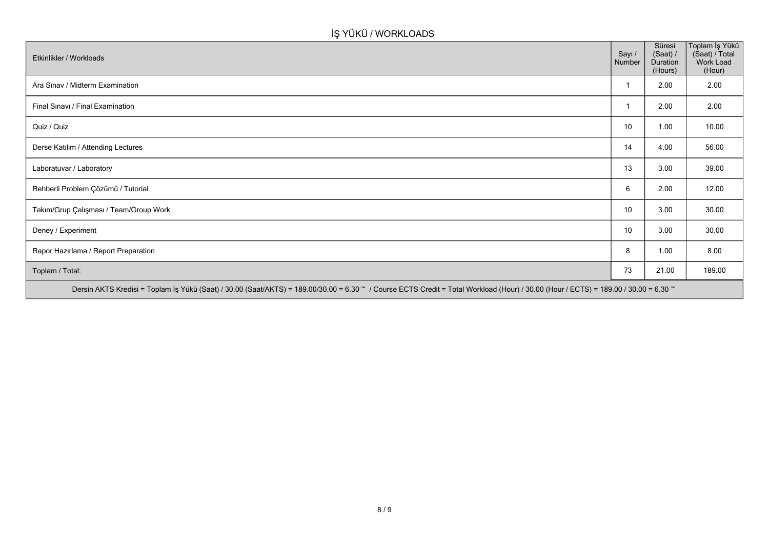# **İŞ YÜKÜ / WORKLOADS**

| Etkinlikler / Workloads                                                                                                                                                              | Sayı /<br>Number | Süresi<br>(Saat) /<br>Duration<br>(Hours) | Toplam İş Yükü<br>(Saat) / Total<br>Work Load<br>(Hour) |  |  |  |  |
|--------------------------------------------------------------------------------------------------------------------------------------------------------------------------------------|------------------|-------------------------------------------|---------------------------------------------------------|--|--|--|--|
| Ara Sınav / Midterm Examination                                                                                                                                                      |                  | 2.00                                      | 2.00                                                    |  |  |  |  |
| Final Sinavi / Final Examination                                                                                                                                                     |                  | 2.00                                      | 2.00                                                    |  |  |  |  |
| Quiz / Quiz                                                                                                                                                                          | 10               | 1.00                                      | 10.00                                                   |  |  |  |  |
| Derse Katılım / Attending Lectures                                                                                                                                                   | 14               | 4.00                                      | 56.00                                                   |  |  |  |  |
| Laboratuvar / Laboratory                                                                                                                                                             | 13               | 3.00                                      | 39.00                                                   |  |  |  |  |
| Rehberli Problem Çözümü / Tutorial                                                                                                                                                   | 6                | 2.00                                      | 12.00                                                   |  |  |  |  |
| Takım/Grup Çalışması / Team/Group Work                                                                                                                                               | 10               | 3.00                                      | 30.00                                                   |  |  |  |  |
| Deney / Experiment                                                                                                                                                                   | 10               | 3.00                                      | 30.00                                                   |  |  |  |  |
| Rapor Hazırlama / Report Preparation                                                                                                                                                 | 8                | 1.00                                      | 8.00                                                    |  |  |  |  |
| Toplam / Total:                                                                                                                                                                      | 73               | 21.00                                     | 189.00                                                  |  |  |  |  |
| Dersin AKTS Kredisi = Toplam İş Yükü (Saat) / 30.00 (Saat/AKTS) = 189.00/30.00 = 6.30 ~ / Course ECTS Credit = Total Workload (Hour) / 30.00 (Hour / ECTS) = 189.00 / 30.00 = 6.30 ~ |                  |                                           |                                                         |  |  |  |  |